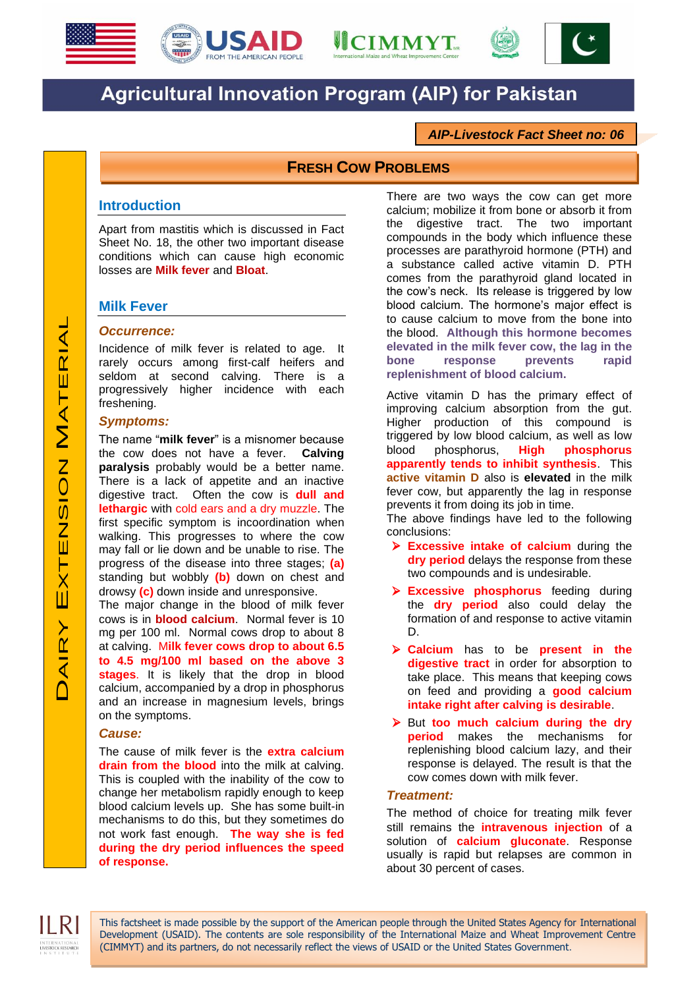





# **Agricultural Innovation Program (AIP) for Pakistan**

# *AIP-Livestock Fact Sheet no: 06*

# **FRESH COW PROBLEMS**

## **Introduction**

Apart from mastitis which is discussed in Fact Sheet No. 18, the other two important disease conditions which can cause high economic losses are **Milk fever** and **Bloat**.

# **Milk Fever**

#### *Occurrence:*

Incidence of milk fever is related to age. It rarely occurs among first-calf heifers and seldom at second calving. There is a progressively higher incidence with each freshening.

#### *Symptoms:*

The name "**milk fever**" is a misnomer because the cow does not have a fever. **Calving paralysis** probably would be a better name. There is a lack of appetite and an inactive digestive tract. Often the cow is **dull and lethargic** with cold ears and a dry muzzle. The first specific symptom is incoordination when walking. This progresses to where the cow may fall or lie down and be unable to rise. The progress of the disease into three stages; **(a)** standing but wobbly **(b)** down on chest and drowsy **(c)** down inside and unresponsive.

The major change in the blood of milk fever cows is in **blood calcium**. Normal fever is 10 mg per 100 ml. Normal cows drop to about 8 at calving. M**ilk fever cows drop to about 6.5 to 4.5 mg/100 ml based on the above 3 stages**. It is likely that the drop in blood calcium, accompanied by a drop in phosphorus and an increase in magnesium levels, brings on the symptoms.

#### *Cause:*

The cause of milk fever is the **extra calcium drain from the blood** into the milk at calving. This is coupled with the inability of the cow to change her metabolism rapidly enough to keep blood calcium levels up. She has some built-in mechanisms to do this, but they sometimes do not work fast enough. **The way she is fed during the dry period influences the speed of response.** 

There are two ways the cow can get more calcium; mobilize it from bone or absorb it from the digestive tract. The two important compounds in the body which influence these processes are parathyroid hormone (PTH) and a substance called active vitamin D. PTH comes from the parathyroid gland located in the cow's neck. Its release is triggered by low blood calcium. The hormone's major effect is to cause calcium to move from the bone into the blood. **Although this hormone becomes elevated in the milk fever cow, the lag in the bone response prevents rapid replenishment of blood calcium.**

Active vitamin D has the primary effect of improving calcium absorption from the gut. Higher production of this compound is triggered by low blood calcium, as well as low blood phosphorus, **High phosphorus apparently tends to inhibit synthesis**. This **active vitamin D** also is **elevated** in the milk fever cow, but apparently the lag in response prevents it from doing its job in time.

The above findings have led to the following conclusions:

- **Excessive intake of calcium** during the **dry period** delays the response from these two compounds and is undesirable.
- **Excessive phosphorus** feeding during the **dry period** also could delay the formation of and response to active vitamin D.
- **Calcium** has to be **present in the digestive tract** in order for absorption to take place. This means that keeping cows on feed and providing a **good calcium intake right after calving is desirable**.
- But **too much calcium during the dry period** makes the mechanisms for replenishing blood calcium lazy, and their response is delayed. The result is that the cow comes down with milk fever.

#### *Treatment:*

The method of choice for treating milk fever still remains the **intravenous injection** of a solution of **calcium gluconate**. Response usually is rapid but relapses are common in about 30 percent of cases.



This factsheet is made possible by the support of the American people through the United States Agency for International Development (USAID). The contents are sole responsibility of the International Maize and Wheat Improvement Centre (CIMMYT) and its partners, do not necessarily reflect the views of USAID or the United States Government.